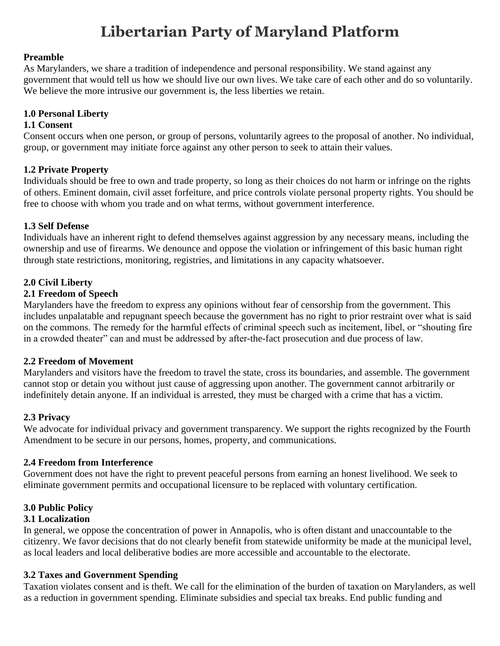# **Libertarian Party of Maryland Platform**

#### **Preamble**

As Marylanders, we share a tradition of independence and personal responsibility. We stand against any government that would tell us how we should live our own lives. We take care of each other and do so voluntarily. We believe the more intrusive our government is, the less liberties we retain.

## **1.0 Personal Liberty**

#### **1.1 Consent**

Consent occurs when one person, or group of persons, voluntarily agrees to the proposal of another. No individual, group, or government may initiate force against any other person to seek to attain their values.

## **1.2 Private Property**

Individuals should be free to own and trade property, so long as their choices do not harm or infringe on the rights of others. Eminent domain, civil asset forfeiture, and price controls violate personal property rights. You should be free to choose with whom you trade and on what terms, without government interference.

#### **1.3 Self Defense**

Individuals have an inherent right to defend themselves against aggression by any necessary means, including the ownership and use of firearms. We denounce and oppose the violation or infringement of this basic human right through state restrictions, monitoring, registries, and limitations in any capacity whatsoever.

#### **2.0 Civil Liberty**

#### **2.1 Freedom of Speech**

Marylanders have the freedom to express any opinions without fear of censorship from the government. This includes unpalatable and repugnant speech because the government has no right to prior restraint over what is said on the commons. The remedy for the harmful effects of criminal speech such as incitement, libel, or "shouting fire in a crowded theater" can and must be addressed by after-the-fact prosecution and due process of law.

#### **2.2 Freedom of Movement**

Marylanders and visitors have the freedom to travel the state, cross its boundaries, and assemble. The government cannot stop or detain you without just cause of aggressing upon another. The government cannot arbitrarily or indefinitely detain anyone. If an individual is arrested, they must be charged with a crime that has a victim.

#### **2.3 Privacy**

We advocate for individual privacy and government transparency. We support the rights recognized by the Fourth Amendment to be secure in our persons, homes, property, and communications.

## **2.4 Freedom from Interference**

Government does not have the right to prevent peaceful persons from earning an honest livelihood. We seek to eliminate government permits and occupational licensure to be replaced with voluntary certification.

## **3.0 Public Policy**

#### **3.1 Localization**

In general, we oppose the concentration of power in Annapolis, who is often distant and unaccountable to the citizenry. We favor decisions that do not clearly benefit from statewide uniformity be made at the municipal level, as local leaders and local deliberative bodies are more accessible and accountable to the electorate.

## **3.2 Taxes and Government Spending**

Taxation violates consent and is theft. We call for the elimination of the burden of taxation on Marylanders, as well as a reduction in government spending. Eliminate subsidies and special tax breaks. End public funding and